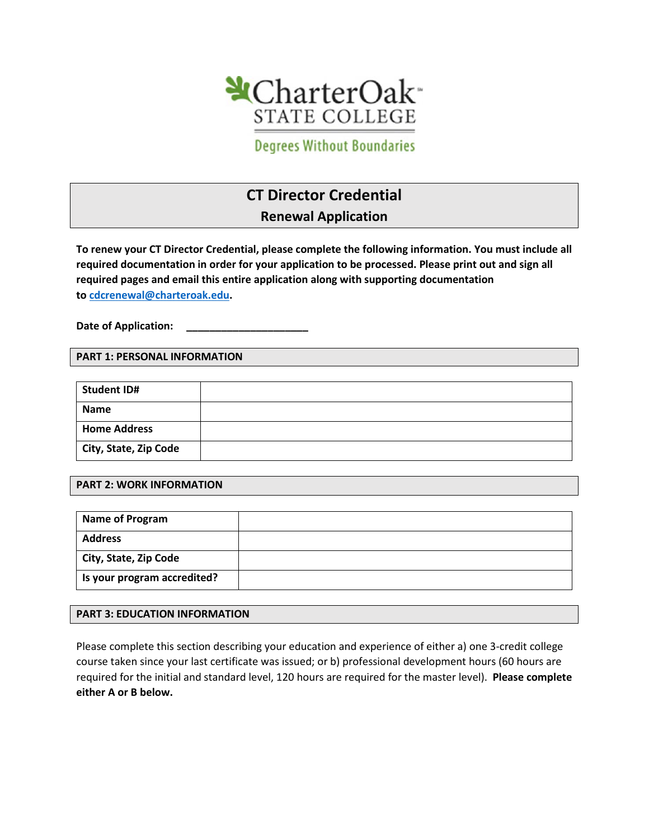

**Degrees Without Boundaries** 

# **CT Director Credential**

**Renewal Application** 

**To renew your CT Director Credential, please complete the following information. You must include all required documentation in order for your application to be processed. Please print out and sign all required pages and email this entire application along with supporting documentation to [cdcrenewal@charteroak.edu.](mailto:cdcrenewal@charteroak.edu)** 

Date of Application:

#### **PART 1: PERSONAL INFORMATION**

| <b>Student ID#</b>    |  |
|-----------------------|--|
| <b>Name</b>           |  |
| <b>Home Address</b>   |  |
| City, State, Zip Code |  |

#### **PART 2: WORK INFORMATION**

| Name of Program             |  |
|-----------------------------|--|
| <b>Address</b>              |  |
| City, State, Zip Code       |  |
| Is your program accredited? |  |

#### **PART 3: EDUCATION INFORMATION**

Please complete this section describing your education and experience of either a) one 3-credit college course taken since your last certificate was issued; or b) professional development hours (60 hours are required for the initial and standard level, 120 hours are required for the master level). **Please complete either A or B below.**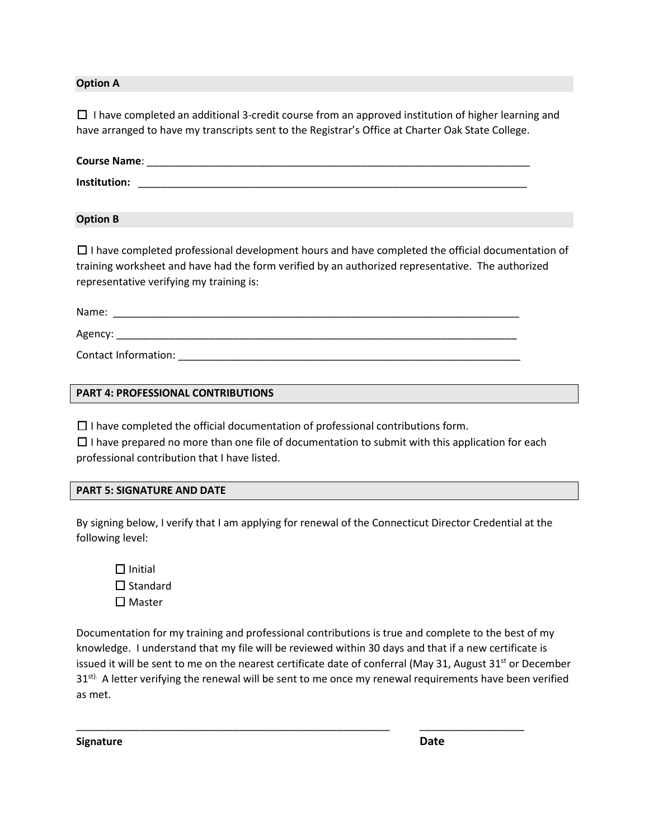#### **Option A**

 $\Box$  I have completed an additional 3-credit course from an approved institution of higher learning and have arranged to have my transcripts sent to the Registrar's Office at Charter Oak State College.

| <b>Course Name:</b> |  |  |  |
|---------------------|--|--|--|
| Institution:        |  |  |  |

**Option B**

☐ I have completed professional development hours and have completed the official documentation of training worksheet and have had the form verified by an authorized representative. The authorized representative verifying my training is:

Name: \_\_\_\_\_\_\_\_\_\_\_\_\_\_\_\_\_\_\_\_\_\_\_\_\_\_\_\_\_\_\_\_\_\_\_\_\_\_\_\_\_\_\_\_\_\_\_\_\_\_\_\_\_\_\_\_\_\_\_\_\_\_\_\_\_\_\_\_\_\_ Agency: \_\_\_\_\_\_\_\_\_\_\_\_\_\_\_\_\_\_\_\_\_\_\_\_\_\_\_\_\_\_\_\_\_\_\_\_\_\_\_\_\_\_\_\_\_\_\_\_\_\_\_\_\_\_\_\_\_\_\_\_\_\_\_\_\_\_\_\_\_ Contact Information: \_\_\_\_\_\_\_\_\_\_\_\_\_\_\_\_\_\_\_\_\_\_\_\_\_\_\_\_\_\_\_\_\_\_\_\_\_\_\_\_\_\_\_\_\_\_\_\_\_\_\_\_\_\_\_\_\_\_\_

#### **PART 4: PROFESSIONAL CONTRIBUTIONS**

 $\Box$  I have completed the official documentation of professional contributions form.

 $\Box$  I have prepared no more than one file of documentation to submit with this application for each professional contribution that I have listed.

#### **PART 5: SIGNATURE AND DATE**

By signing below, I verify that I am applying for renewal of the Connecticut Director Credential at the following level:

□ Initial ☐ Standard ☐ Master

Documentation for my training and professional contributions is true and complete to the best of my knowledge. I understand that my file will be reviewed within 30 days and that if a new certificate is issued it will be sent to me on the nearest certificate date of conferral (May 31, August 31<sup>st</sup> or December 31<sup>st).</sup> A letter verifying the renewal will be sent to me once my renewal requirements have been verified as met.

\_\_\_\_\_\_\_\_\_\_\_\_\_\_\_\_\_\_\_\_\_\_\_\_\_\_\_\_\_\_\_\_\_\_\_\_\_\_\_\_\_\_\_\_\_\_\_\_\_\_\_\_\_\_ \_\_\_\_\_\_\_\_\_\_\_\_\_\_\_\_\_\_

**Signature** Date **Date**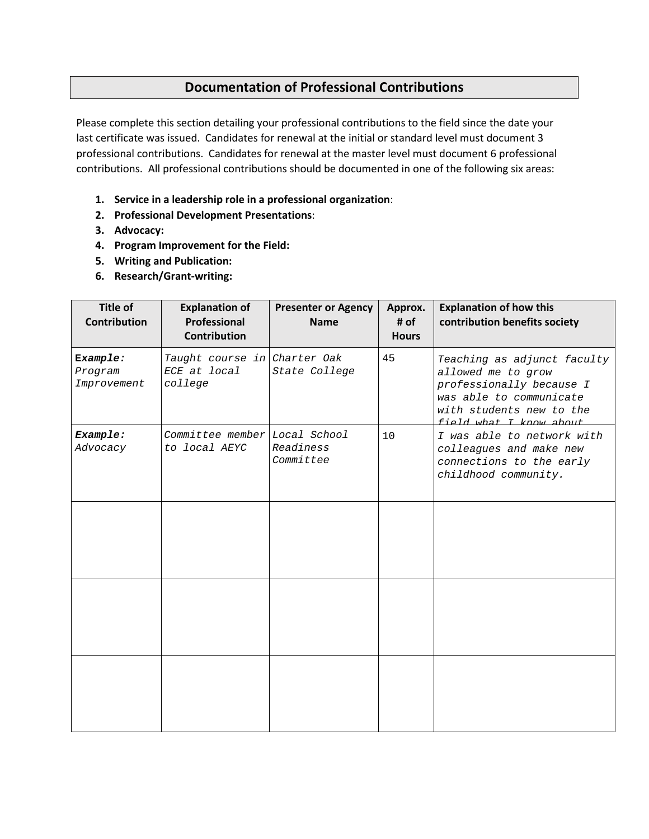## **Documentation of Professional Contributions**

Please complete this section detailing your professional contributions to the field since the date your last certificate was issued. Candidates for renewal at the initial or standard level must document 3 professional contributions. Candidates for renewal at the master level must document 6 professional contributions. All professional contributions should be documented in one of the following six areas:

- **1. Service in a leadership role in a professional organization**:
- **2. Professional Development Presentations**:
- **3. Advocacy:**
- **4. Program Improvement for the Field:**
- **5. Writing and Publication:**
- **6. Research/Grant-writing:**

| <b>Title of</b><br><b>Contribution</b> | <b>Explanation of</b><br><b>Professional</b><br><b>Contribution</b> | <b>Presenter or Agency</b><br><b>Name</b> | Approx.<br># of<br><b>Hours</b> | <b>Explanation of how this</b><br>contribution benefits society                                                                                                 |
|----------------------------------------|---------------------------------------------------------------------|-------------------------------------------|---------------------------------|-----------------------------------------------------------------------------------------------------------------------------------------------------------------|
| Example:<br>Program<br>Improvement     | Taught course in Charter Oak<br>ECE at local<br>college             | State College                             | 45                              | Teaching as adjunct faculty<br>allowed me to grow<br>professionally because I<br>was able to communicate<br>with students new to the<br>field what I know about |
| Example:<br>Advocacy                   | Committee member Local School<br>to local AEYC                      | Readiness<br>Committee                    | 10                              | I was able to network with<br>colleagues and make new<br>connections to the early<br>childhood community.                                                       |
|                                        |                                                                     |                                           |                                 |                                                                                                                                                                 |
|                                        |                                                                     |                                           |                                 |                                                                                                                                                                 |
|                                        |                                                                     |                                           |                                 |                                                                                                                                                                 |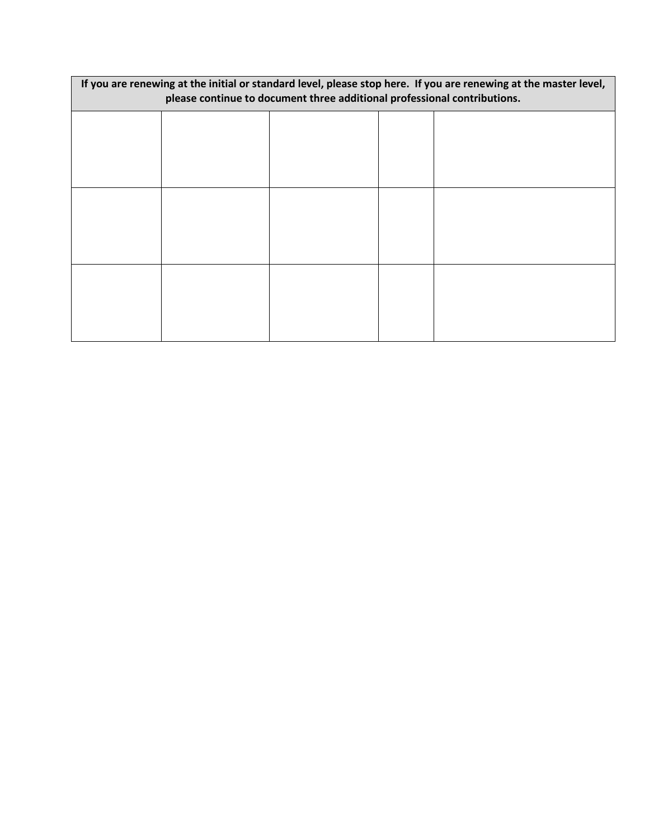| If you are renewing at the initial or standard level, please stop here. If you are renewing at the master level,<br>please continue to document three additional professional contributions. |  |  |  |  |  |  |
|----------------------------------------------------------------------------------------------------------------------------------------------------------------------------------------------|--|--|--|--|--|--|
|                                                                                                                                                                                              |  |  |  |  |  |  |
|                                                                                                                                                                                              |  |  |  |  |  |  |
|                                                                                                                                                                                              |  |  |  |  |  |  |
|                                                                                                                                                                                              |  |  |  |  |  |  |
|                                                                                                                                                                                              |  |  |  |  |  |  |
|                                                                                                                                                                                              |  |  |  |  |  |  |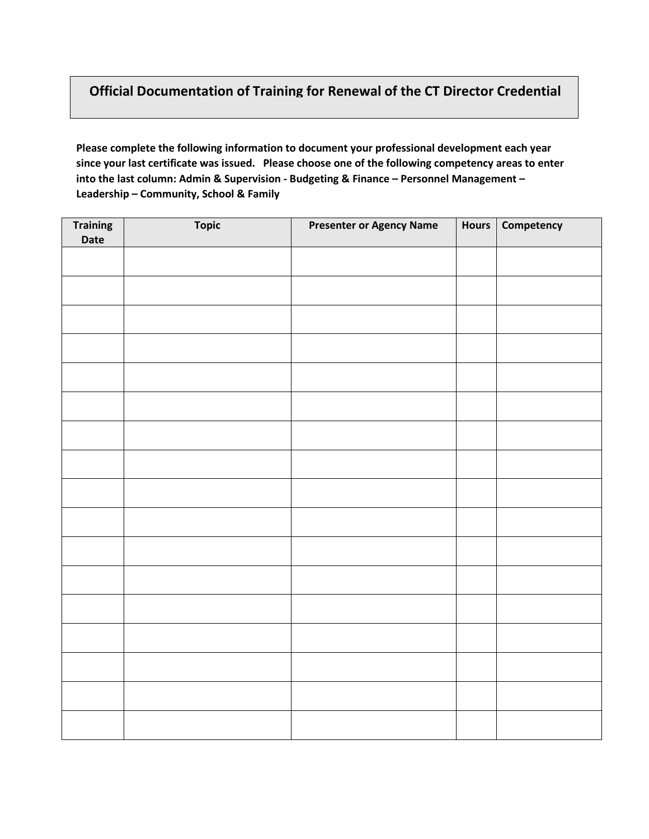### **Official Documentation of Training for Renewal of the CT Director Credential**

**Please complete the following information to document your professional development each year since your last certificate was issued. Please choose one of the following competency areas to enter into the last column: Admin & Supervision - Budgeting & Finance – Personnel Management – Leadership – Community, School & Family**

| <b>Training</b><br>Date | <b>Topic</b> | <b>Presenter or Agency Name</b> | <b>Hours</b> | Competency |
|-------------------------|--------------|---------------------------------|--------------|------------|
|                         |              |                                 |              |            |
|                         |              |                                 |              |            |
|                         |              |                                 |              |            |
|                         |              |                                 |              |            |
|                         |              |                                 |              |            |
|                         |              |                                 |              |            |
|                         |              |                                 |              |            |
|                         |              |                                 |              |            |
|                         |              |                                 |              |            |
|                         |              |                                 |              |            |
|                         |              |                                 |              |            |
|                         |              |                                 |              |            |
|                         |              |                                 |              |            |
|                         |              |                                 |              |            |
|                         |              |                                 |              |            |
|                         |              |                                 |              |            |
|                         |              |                                 |              |            |